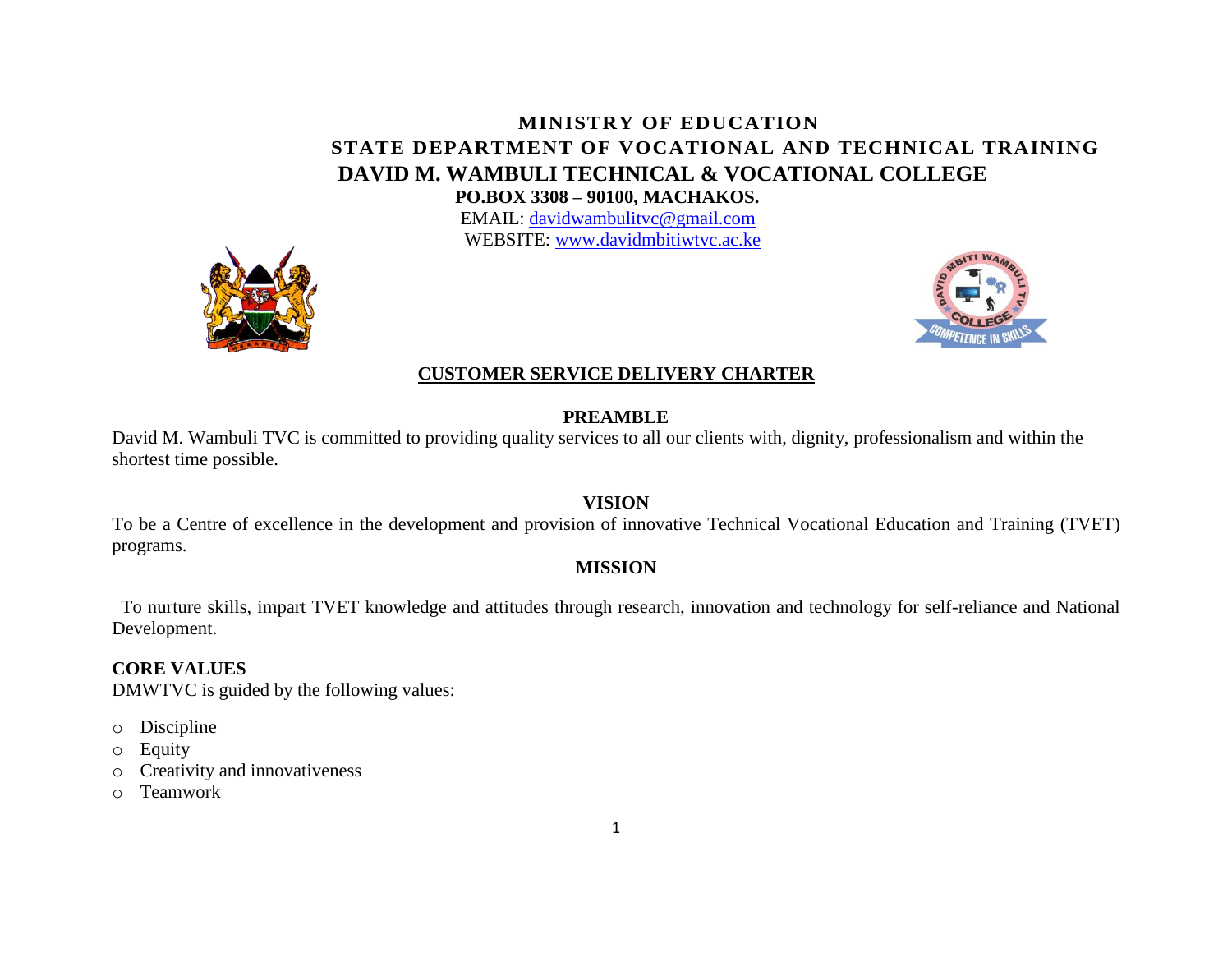# **MINISTRY OF EDUCATION STATE DEPARTMENT OF VOCATIONAL AND TECHNICAL TRAINING DAVID M. WAMBULI TECHNICAL & VOCATIONAL COLLEGE** **PO.BOX 3308 – 90100, MACHAKOS.**

EMAIL: [davidwambulitvc@gmail.com](mailto:davidwambulitvc@gmail.com) WEBSITE: [www.davidmbitiwtvc.ac.ke](http://www.davidmbitiwtvc.ac.ke/)





#### **CUSTOMER SERVICE DELIVERY CHARTER**

### **PREAMBLE**

David M. Wambuli TVC is committed to providing quality services to all our clients with, dignity, professionalism and within the shortest time possible.

## **VISION**

To be a Centre of excellence in the development and provision of innovative Technical Vocational Education and Training (TVET) programs.

### **MISSION**

 To nurture skills, impart TVET knowledge and attitudes through research, innovation and technology for self-reliance and National Development.

## **CORE VALUES**

DMWTVC is guided by the following values:

- o Discipline
- o Equity
- o Creativity and innovativeness
- o Teamwork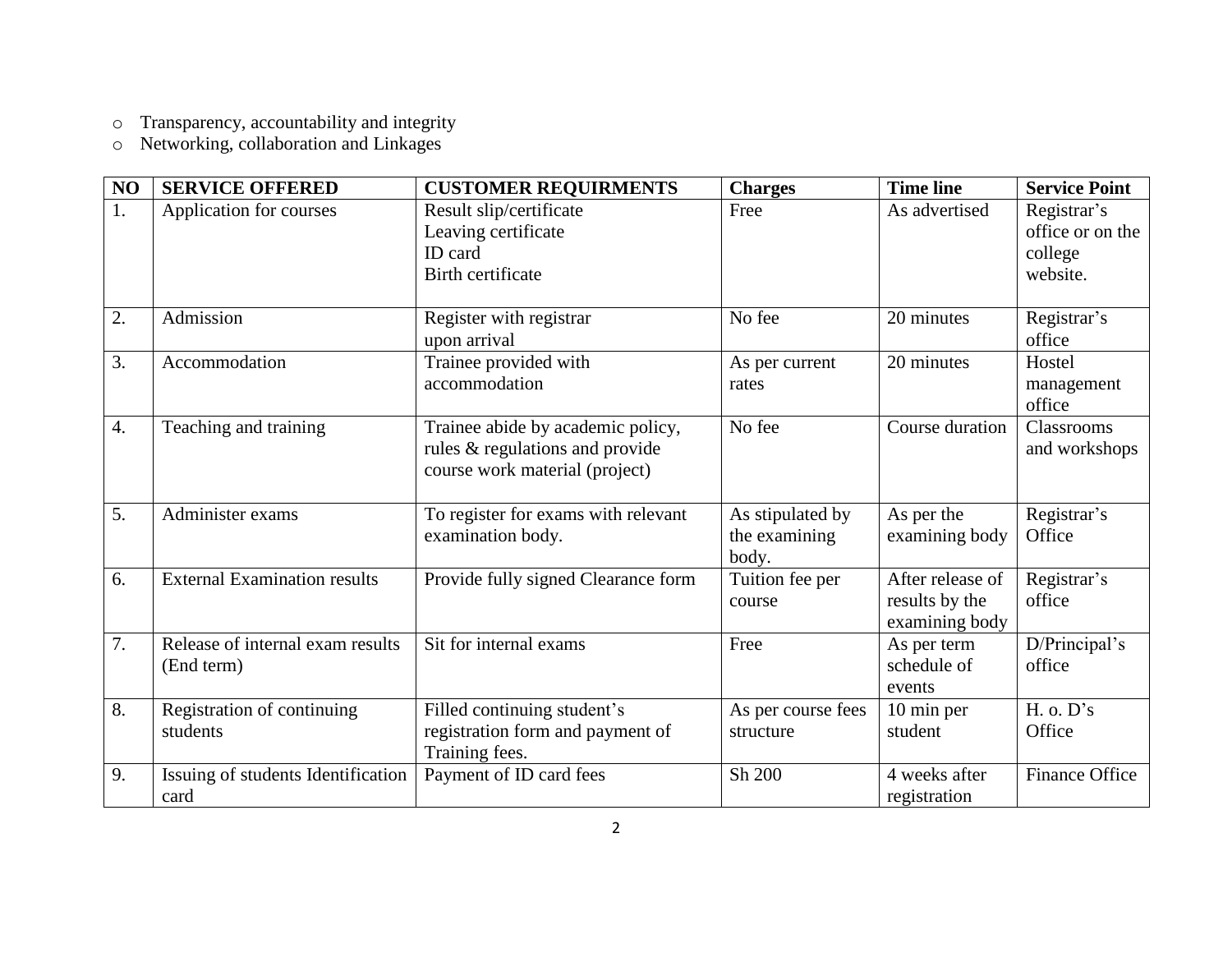o Transparency, accountability and integrity

o Networking, collaboration and Linkages

| NO               | <b>SERVICE OFFERED</b>                         | <b>CUSTOMER REQUIRMENTS</b>                                                                            | <b>Charges</b>                             | <b>Time line</b>                                     | <b>Service Point</b>                                   |
|------------------|------------------------------------------------|--------------------------------------------------------------------------------------------------------|--------------------------------------------|------------------------------------------------------|--------------------------------------------------------|
| 1.               | Application for courses                        | Result slip/certificate<br>Leaving certificate<br>ID card<br>Birth certificate                         | Free                                       | As advertised                                        | Registrar's<br>office or on the<br>college<br>website. |
| 2.               | Admission                                      | Register with registrar<br>upon arrival                                                                | No fee                                     | 20 minutes                                           | Registrar's<br>office                                  |
| 3.               | Accommodation                                  | Trainee provided with<br>accommodation                                                                 | As per current<br>rates                    | 20 minutes                                           | Hostel<br>management<br>office                         |
| $\overline{4}$ . | Teaching and training                          | Trainee abide by academic policy,<br>rules & regulations and provide<br>course work material (project) | No fee                                     | Course duration                                      | Classrooms<br>and workshops                            |
| 5.               | Administer exams                               | To register for exams with relevant<br>examination body.                                               | As stipulated by<br>the examining<br>body. | As per the<br>examining body                         | Registrar's<br>Office                                  |
| 6.               | <b>External Examination results</b>            | Provide fully signed Clearance form                                                                    | Tuition fee per<br>course                  | After release of<br>results by the<br>examining body | Registrar's<br>office                                  |
| 7.               | Release of internal exam results<br>(End term) | Sit for internal exams                                                                                 | Free                                       | As per term<br>schedule of<br>events                 | D/Principal's<br>office                                |
| 8.               | Registration of continuing<br>students         | Filled continuing student's<br>registration form and payment of<br>Training fees.                      | As per course fees<br>structure            | 10 min per<br>student                                | H. o. D's<br>Office                                    |
| 9.               | Issuing of students Identification<br>card     | Payment of ID card fees                                                                                | Sh 200                                     | 4 weeks after<br>registration                        | Finance Office                                         |